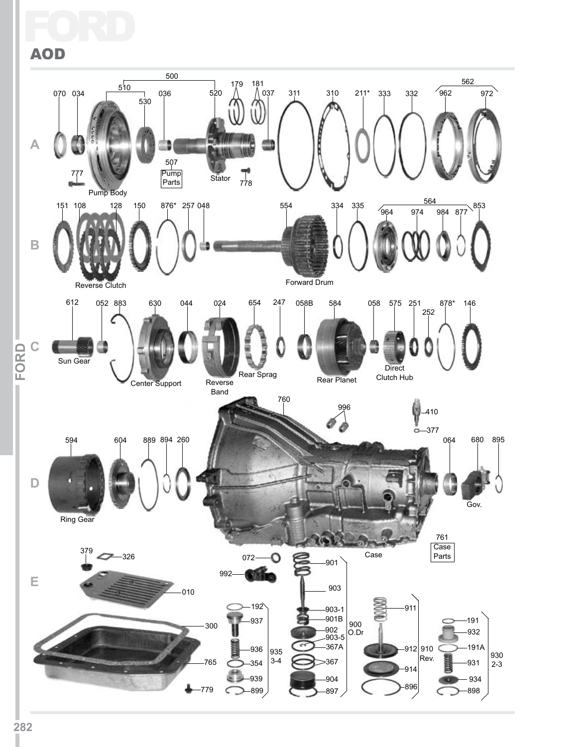## FC